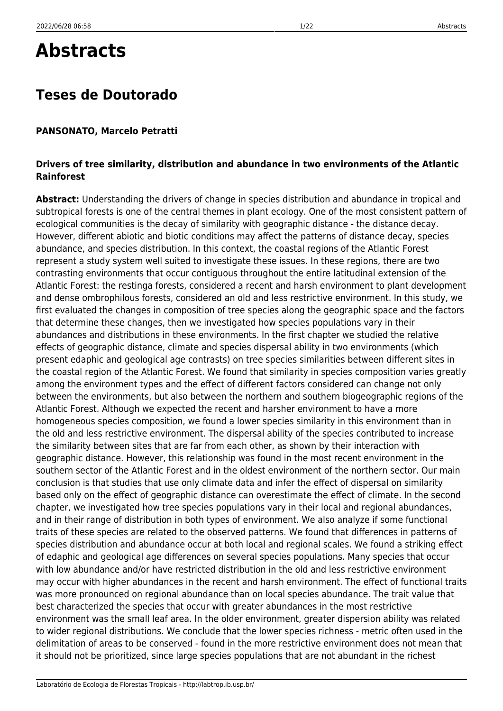# **Abstracts**

## **Teses de Doutorado**

#### **PANSONATO, Marcelo Petratti**

#### **Drivers of tree similarity, distribution and abundance in two environments of the Atlantic Rainforest**

**Abstract:** Understanding the drivers of change in species distribution and abundance in tropical and subtropical forests is one of the central themes in plant ecology. One of the most consistent pattern of ecological communities is the decay of similarity with geographic distance - the distance decay. However, different abiotic and biotic conditions may affect the patterns of distance decay, species abundance, and species distribution. In this context, the coastal regions of the Atlantic Forest represent a study system well suited to investigate these issues. In these regions, there are two contrasting environments that occur contiguous throughout the entire latitudinal extension of the Atlantic Forest: the restinga forests, considered a recent and harsh environment to plant development and dense ombrophilous forests, considered an old and less restrictive environment. In this study, we first evaluated the changes in composition of tree species along the geographic space and the factors that determine these changes, then we investigated how species populations vary in their abundances and distributions in these environments. In the first chapter we studied the relative effects of geographic distance, climate and species dispersal ability in two environments (which present edaphic and geological age contrasts) on tree species similarities between different sites in the coastal region of the Atlantic Forest. We found that similarity in species composition varies greatly among the environment types and the effect of different factors considered can change not only between the environments, but also between the northern and southern biogeographic regions of the Atlantic Forest. Although we expected the recent and harsher environment to have a more homogeneous species composition, we found a lower species similarity in this environment than in the old and less restrictive environment. The dispersal ability of the species contributed to increase the similarity between sites that are far from each other, as shown by their interaction with geographic distance. However, this relationship was found in the most recent environment in the southern sector of the Atlantic Forest and in the oldest environment of the northern sector. Our main conclusion is that studies that use only climate data and infer the effect of dispersal on similarity based only on the effect of geographic distance can overestimate the effect of climate. In the second chapter, we investigated how tree species populations vary in their local and regional abundances, and in their range of distribution in both types of environment. We also analyze if some functional traits of these species are related to the observed patterns. We found that differences in patterns of species distribution and abundance occur at both local and regional scales. We found a striking effect of edaphic and geological age differences on several species populations. Many species that occur with low abundance and/or have restricted distribution in the old and less restrictive environment may occur with higher abundances in the recent and harsh environment. The effect of functional traits was more pronounced on regional abundance than on local species abundance. The trait value that best characterized the species that occur with greater abundances in the most restrictive environment was the small leaf area. In the older environment, greater dispersion ability was related to wider regional distributions. We conclude that the lower species richness - metric often used in the delimitation of areas to be conserved - found in the more restrictive environment does not mean that it should not be prioritized, since large species populations that are not abundant in the richest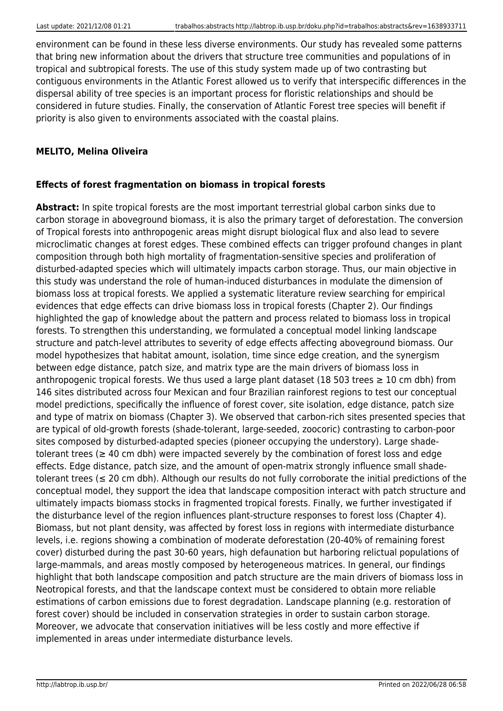environment can be found in these less diverse environments. Our study has revealed some patterns that bring new information about the drivers that structure tree communities and populations of in tropical and subtropical forests. The use of this study system made up of two contrasting but contiguous environments in the Atlantic Forest allowed us to verify that interspecific differences in the dispersal ability of tree species is an important process for floristic relationships and should be considered in future studies. Finally, the conservation of Atlantic Forest tree species will benefit if priority is also given to environments associated with the coastal plains.

## **MELITO, Melina Oliveira**

#### **Effects of forest fragmentation on biomass in tropical forests**

**Abstract:** In spite tropical forests are the most important terrestrial global carbon sinks due to carbon storage in aboveground biomass, it is also the primary target of deforestation. The conversion of Tropical forests into anthropogenic areas might disrupt biological flux and also lead to severe microclimatic changes at forest edges. These combined effects can trigger profound changes in plant composition through both high mortality of fragmentation-sensitive species and proliferation of disturbed-adapted species which will ultimately impacts carbon storage. Thus, our main objective in this study was understand the role of human-induced disturbances in modulate the dimension of biomass loss at tropical forests. We applied a systematic literature review searching for empirical evidences that edge effects can drive biomass loss in tropical forests (Chapter 2). Our findings highlighted the gap of knowledge about the pattern and process related to biomass loss in tropical forests. To strengthen this understanding, we formulated a conceptual model linking landscape structure and patch-level attributes to severity of edge effects affecting aboveground biomass. Our model hypothesizes that habitat amount, isolation, time since edge creation, and the synergism between edge distance, patch size, and matrix type are the main drivers of biomass loss in anthropogenic tropical forests. We thus used a large plant dataset (18 503 trees  $\geq 10$  cm dbh) from 146 sites distributed across four Mexican and four Brazilian rainforest regions to test our conceptual model predictions, specifically the influence of forest cover, site isolation, edge distance, patch size and type of matrix on biomass (Chapter 3). We observed that carbon-rich sites presented species that are typical of old-growth forests (shade-tolerant, large-seeded, zoocoric) contrasting to carbon-poor sites composed by disturbed-adapted species (pioneer occupying the understory). Large shadetolerant trees ( $\geq$  40 cm dbh) were impacted severely by the combination of forest loss and edge effects. Edge distance, patch size, and the amount of open-matrix strongly influence small shadetolerant trees (≤ 20 cm dbh). Although our results do not fully corroborate the initial predictions of the conceptual model, they support the idea that landscape composition interact with patch structure and ultimately impacts biomass stocks in fragmented tropical forests. Finally, we further investigated if the disturbance level of the region influences plant-structure responses to forest loss (Chapter 4). Biomass, but not plant density, was affected by forest loss in regions with intermediate disturbance levels, i.e. regions showing a combination of moderate deforestation (20-40% of remaining forest cover) disturbed during the past 30-60 years, high defaunation but harboring relictual populations of large-mammals, and areas mostly composed by heterogeneous matrices. In general, our findings highlight that both landscape composition and patch structure are the main drivers of biomass loss in Neotropical forests, and that the landscape context must be considered to obtain more reliable estimations of carbon emissions due to forest degradation. Landscape planning (e.g. restoration of forest cover) should be included in conservation strategies in order to sustain carbon storage. Moreover, we advocate that conservation initiatives will be less costly and more effective if implemented in areas under intermediate disturbance levels.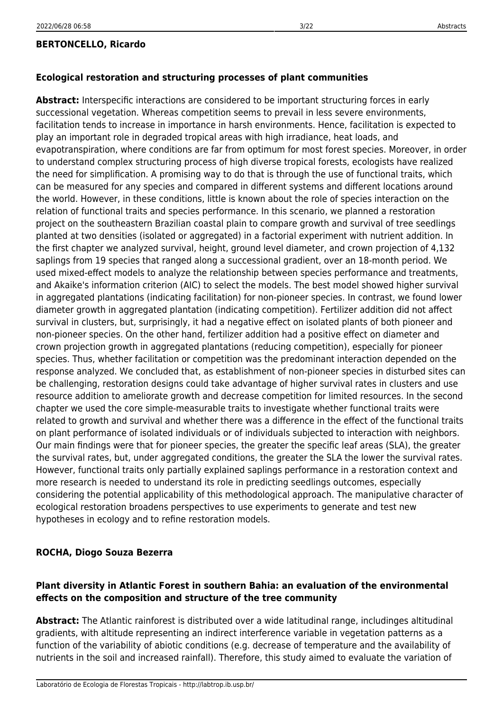#### **BERTONCELLO, Ricardo**

#### **Ecological restoration and structuring processes of plant communities**

**Abstract:** Interspecific interactions are considered to be important structuring forces in early successional vegetation. Whereas competition seems to prevail in less severe environments, facilitation tends to increase in importance in harsh environments. Hence, facilitation is expected to play an important role in degraded tropical areas with high irradiance, heat loads, and evapotranspiration, where conditions are far from optimum for most forest species. Moreover, in order to understand complex structuring process of high diverse tropical forests, ecologists have realized the need for simplification. A promising way to do that is through the use of functional traits, which can be measured for any species and compared in different systems and different locations around the world. However, in these conditions, little is known about the role of species interaction on the relation of functional traits and species performance. In this scenario, we planned a restoration project on the southeastern Brazilian coastal plain to compare growth and survival of tree seedlings planted at two densities (isolated or aggregated) in a factorial experiment with nutrient addition. In the first chapter we analyzed survival, height, ground level diameter, and crown projection of 4,132 saplings from 19 species that ranged along a successional gradient, over an 18-month period. We used mixed-effect models to analyze the relationship between species performance and treatments, and Akaike's information criterion (AIC) to select the models. The best model showed higher survival in aggregated plantations (indicating facilitation) for non-pioneer species. In contrast, we found lower diameter growth in aggregated plantation (indicating competition). Fertilizer addition did not affect survival in clusters, but, surprisingly, it had a negative effect on isolated plants of both pioneer and non-pioneer species. On the other hand, fertilizer addition had a positive effect on diameter and crown projection growth in aggregated plantations (reducing competition), especially for pioneer species. Thus, whether facilitation or competition was the predominant interaction depended on the response analyzed. We concluded that, as establishment of non-pioneer species in disturbed sites can be challenging, restoration designs could take advantage of higher survival rates in clusters and use resource addition to ameliorate growth and decrease competition for limited resources. In the second chapter we used the core simple-measurable traits to investigate whether functional traits were related to growth and survival and whether there was a difference in the effect of the functional traits on plant performance of isolated individuals or of individuals subjected to interaction with neighbors. Our main findings were that for pioneer species, the greater the specific leaf areas (SLA), the greater the survival rates, but, under aggregated conditions, the greater the SLA the lower the survival rates. However, functional traits only partially explained saplings performance in a restoration context and more research is needed to understand its role in predicting seedlings outcomes, especially considering the potential applicability of this methodological approach. The manipulative character of ecological restoration broadens perspectives to use experiments to generate and test new hypotheses in ecology and to refine restoration models.

#### **ROCHA, Diogo Souza Bezerra**

### **Plant diversity in Atlantic Forest in southern Bahia: an evaluation of the environmental effects on the composition and structure of the tree community**

**Abstract:** The Atlantic rainforest is distributed over a wide latitudinal range, includinges altitudinal gradients, with altitude representing an indirect interference variable in vegetation patterns as a function of the variability of abiotic conditions (e.g. decrease of temperature and the availability of nutrients in the soil and increased rainfall). Therefore, this study aimed to evaluate the variation of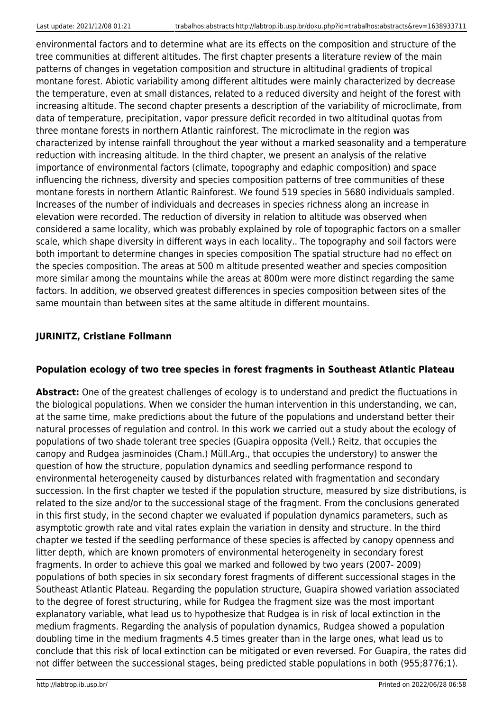environmental factors and to determine what are its effects on the composition and structure of the tree communities at different altitudes. The first chapter presents a literature review of the main patterns of changes in vegetation composition and structure in altitudinal gradients of tropical montane forest. Abiotic variability among different altitudes were mainly characterized by decrease the temperature, even at small distances, related to a reduced diversity and height of the forest with increasing altitude. The second chapter presents a description of the variability of microclimate, from data of temperature, precipitation, vapor pressure deficit recorded in two altitudinal quotas from three montane forests in northern Atlantic rainforest. The microclimate in the region was characterized by intense rainfall throughout the year without a marked seasonality and a temperature reduction with increasing altitude. In the third chapter, we present an analysis of the relative importance of environmental factors (climate, topography and edaphic composition) and space influencing the richness, diversity and species composition patterns of tree communities of these montane forests in northern Atlantic Rainforest. We found 519 species in 5680 individuals sampled. Increases of the number of individuals and decreases in species richness along an increase in elevation were recorded. The reduction of diversity in relation to altitude was observed when considered a same locality, which was probably explained by role of topographic factors on a smaller scale, which shape diversity in different ways in each locality.. The topography and soil factors were both important to determine changes in species composition The spatial structure had no effect on the species composition. The areas at 500 m altitude presented weather and species composition more similar among the mountains while the areas at 800m were more distinct regarding the same factors. In addition, we observed greatest differences in species composition between sites of the same mountain than between sites at the same altitude in different mountains.

## **JURINITZ, Cristiane Follmann**

#### **Population ecology of two tree species in forest fragments in Southeast Atlantic Plateau**

**Abstract:** One of the greatest challenges of ecology is to understand and predict the fluctuations in the biological populations. When we consider the human intervention in this understanding, we can, at the same time, make predictions about the future of the populations and understand better their natural processes of regulation and control. In this work we carried out a study about the ecology of populations of two shade tolerant tree species (Guapira opposita (Vell.) Reitz, that occupies the canopy and Rudgea jasminoides (Cham.) Müll.Arg., that occupies the understory) to answer the question of how the structure, population dynamics and seedling performance respond to environmental heterogeneity caused by disturbances related with fragmentation and secondary succession. In the first chapter we tested if the population structure, measured by size distributions, is related to the size and/or to the successional stage of the fragment. From the conclusions generated in this first study, in the second chapter we evaluated if population dynamics parameters, such as asymptotic growth rate and vital rates explain the variation in density and structure. In the third chapter we tested if the seedling performance of these species is affected by canopy openness and litter depth, which are known promoters of environmental heterogeneity in secondary forest fragments. In order to achieve this goal we marked and followed by two years (2007- 2009) populations of both species in six secondary forest fragments of different successional stages in the Southeast Atlantic Plateau. Regarding the population structure, Guapira showed variation associated to the degree of forest structuring, while for Rudgea the fragment size was the most important explanatory variable, what lead us to hypothesize that Rudgea is in risk of local extinction in the medium fragments. Regarding the analysis of population dynamics, Rudgea showed a population doubling time in the medium fragments 4.5 times greater than in the large ones, what lead us to conclude that this risk of local extinction can be mitigated or even reversed. For Guapira, the rates did not differ between the successional stages, being predicted stable populations in both (955;8776;1).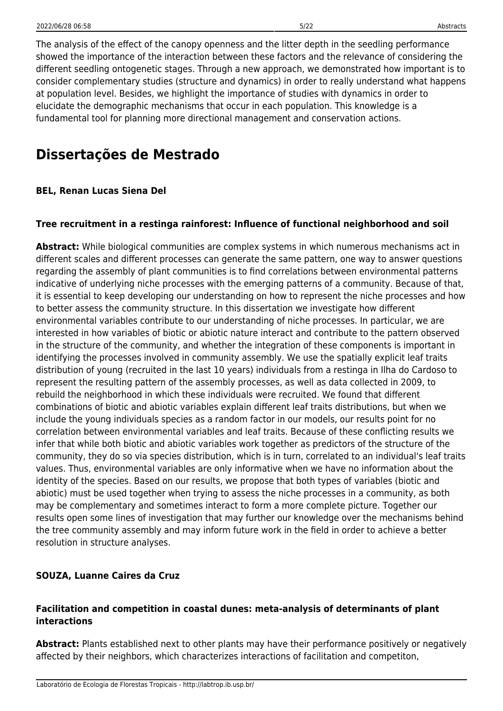The analysis of the effect of the canopy openness and the litter depth in the seedling performance showed the importance of the interaction between these factors and the relevance of considering the different seedling ontogenetic stages. Through a new approach, we demonstrated how important is to consider complementary studies (structure and dynamics) in order to really understand what happens at population level. Besides, we highlight the importance of studies with dynamics in order to elucidate the demographic mechanisms that occur in each population. This knowledge is a fundamental tool for planning more directional management and conservation actions.

## **Dissertações de Mestrado**

### **BEL, Renan Lucas Siena Del**

### **Tree recruitment in a restinga rainforest: Influence of functional neighborhood and soil**

**Abstract:** While biological communities are complex systems in which numerous mechanisms act in different scales and different processes can generate the same pattern, one way to answer questions regarding the assembly of plant communities is to find correlations between environmental patterns indicative of underlying niche processes with the emerging patterns of a community. Because of that, it is essential to keep developing our understanding on how to represent the niche processes and how to better assess the community structure. In this dissertation we investigate how different environmental variables contribute to our understanding of niche processes. In particular, we are interested in how variables of biotic or abiotic nature interact and contribute to the pattern observed in the structure of the community, and whether the integration of these components is important in identifying the processes involved in community assembly. We use the spatially explicit leaf traits distribution of young (recruited in the last 10 years) individuals from a restinga in Ilha do Cardoso to represent the resulting pattern of the assembly processes, as well as data collected in 2009, to rebuild the neighborhood in which these individuals were recruited. We found that different combinations of biotic and abiotic variables explain different leaf traits distributions, but when we include the young individuals species as a random factor in our models, our results point for no correlation between environmental variables and leaf traits. Because of these conflicting results we infer that while both biotic and abiotic variables work together as predictors of the structure of the community, they do so via species distribution, which is in turn, correlated to an individual's leaf traits values. Thus, environmental variables are only informative when we have no information about the identity of the species. Based on our results, we propose that both types of variables (biotic and abiotic) must be used together when trying to assess the niche processes in a community, as both may be complementary and sometimes interact to form a more complete picture. Together our results open some lines of investigation that may further our knowledge over the mechanisms behind the tree community assembly and may inform future work in the field in order to achieve a better resolution in structure analyses.

## **SOUZA, Luanne Caires da Cruz**

### **Facilitation and competition in coastal dunes: meta-analysis of determinants of plant interactions**

**Abstract:** Plants established next to other plants may have their performance positively or negatively affected by their neighbors, which characterizes interactions of facilitation and competiton,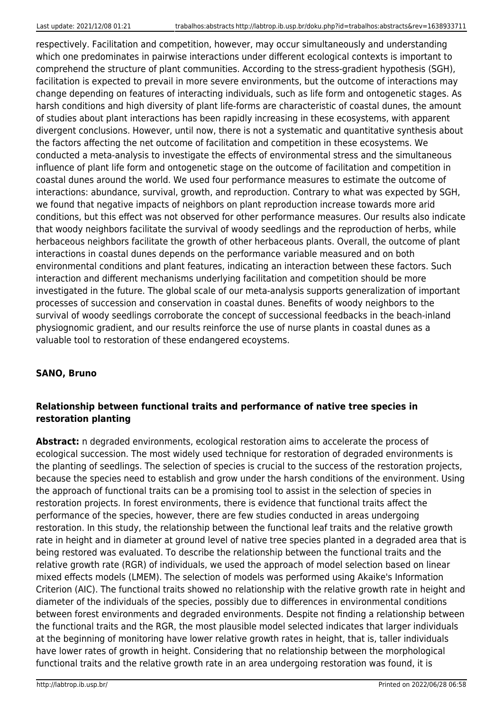respectively. Facilitation and competition, however, may occur simultaneously and understanding which one predominates in pairwise interactions under different ecological contexts is important to comprehend the structure of plant communities. According to the stress-gradient hypothesis (SGH), facilitation is expected to prevail in more severe environments, but the outcome of interactions may change depending on features of interacting individuals, such as life form and ontogenetic stages. As harsh conditions and high diversity of plant life-forms are characteristic of coastal dunes, the amount of studies about plant interactions has been rapidly increasing in these ecosystems, with apparent divergent conclusions. However, until now, there is not a systematic and quantitative synthesis about the factors affecting the net outcome of facilitation and competition in these ecosystems. We conducted a meta-analysis to investigate the effects of environmental stress and the simultaneous influence of plant life form and ontogenetic stage on the outcome of facilitation and competition in coastal dunes around the world. We used four performance measures to estimate the outcome of interactions: abundance, survival, growth, and reproduction. Contrary to what was expected by SGH, we found that negative impacts of neighbors on plant reproduction increase towards more arid conditions, but this effect was not observed for other performance measures. Our results also indicate that woody neighbors facilitate the survival of woody seedlings and the reproduction of herbs, while herbaceous neighbors facilitate the growth of other herbaceous plants. Overall, the outcome of plant interactions in coastal dunes depends on the performance variable measured and on both environmental conditions and plant features, indicating an interaction between these factors. Such interaction and different mechanisms underlying facilitation and competition should be more investigated in the future. The global scale of our meta-analysis supports generalization of important processes of succession and conservation in coastal dunes. Benefits of woody neighbors to the survival of woody seedlings corroborate the concept of successional feedbacks in the beach-inland physiognomic gradient, and our results reinforce the use of nurse plants in coastal dunes as a valuable tool to restoration of these endangered ecoystems.

## **SANO, Bruno**

## **Relationship between functional traits and performance of native tree species in restoration planting**

**Abstract:** n degraded environments, ecological restoration aims to accelerate the process of ecological succession. The most widely used technique for restoration of degraded environments is the planting of seedlings. The selection of species is crucial to the success of the restoration projects, because the species need to establish and grow under the harsh conditions of the environment. Using the approach of functional traits can be a promising tool to assist in the selection of species in restoration projects. In forest environments, there is evidence that functional traits affect the performance of the species, however, there are few studies conducted in areas undergoing restoration. In this study, the relationship between the functional leaf traits and the relative growth rate in height and in diameter at ground level of native tree species planted in a degraded area that is being restored was evaluated. To describe the relationship between the functional traits and the relative growth rate (RGR) of individuals, we used the approach of model selection based on linear mixed effects models (LMEM). The selection of models was performed using Akaike's Information Criterion (AIC). The functional traits showed no relationship with the relative growth rate in height and diameter of the individuals of the species, possibly due to differences in environmental conditions between forest environments and degraded environments. Despite not finding a relationship between the functional traits and the RGR, the most plausible model selected indicates that larger individuals at the beginning of monitoring have lower relative growth rates in height, that is, taller individuals have lower rates of growth in height. Considering that no relationship between the morphological functional traits and the relative growth rate in an area undergoing restoration was found, it is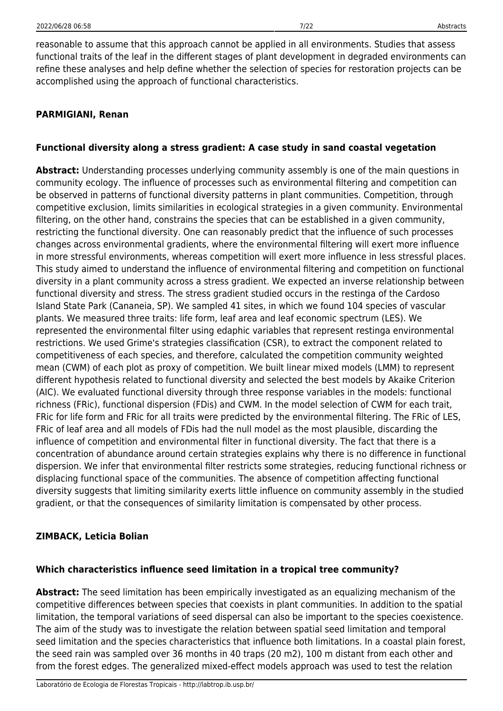reasonable to assume that this approach cannot be applied in all environments. Studies that assess functional traits of the leaf in the different stages of plant development in degraded environments can refine these analyses and help define whether the selection of species for restoration projects can be accomplished using the approach of functional characteristics.

#### **PARMIGIANI, Renan**

#### **Functional diversity along a stress gradient: A case study in sand coastal vegetation**

**Abstract:** Understanding processes underlying community assembly is one of the main questions in community ecology. The influence of processes such as environmental filtering and competition can be observed in patterns of functional diversity patterns in plant communities. Competition, through competitive exclusion, limits similarities in ecological strategies in a given community. Environmental filtering, on the other hand, constrains the species that can be established in a given community, restricting the functional diversity. One can reasonably predict that the influence of such processes changes across environmental gradients, where the environmental filtering will exert more influence in more stressful environments, whereas competition will exert more influence in less stressful places. This study aimed to understand the influence of environmental filtering and competition on functional diversity in a plant community across a stress gradient. We expected an inverse relationship between functional diversity and stress. The stress gradient studied occurs in the restinga of the Cardoso Island State Park (Cananeia, SP). We sampled 41 sites, in which we found 104 species of vascular plants. We measured three traits: life form, leaf area and leaf economic spectrum (LES). We represented the environmental filter using edaphic variables that represent restinga environmental restrictions. We used Grime's strategies classification (CSR), to extract the component related to competitiveness of each species, and therefore, calculated the competition community weighted mean (CWM) of each plot as proxy of competition. We built linear mixed models (LMM) to represent different hypothesis related to functional diversity and selected the best models by Akaike Criterion (AIC). We evaluated functional diversity through three response variables in the models: functional richness (FRic), functional dispersion (FDis) and CWM. In the model selection of CWM for each trait, FRic for life form and FRic for all traits were predicted by the environmental filtering. The FRic of LES, FRic of leaf area and all models of FDis had the null model as the most plausible, discarding the influence of competition and environmental filter in functional diversity. The fact that there is a concentration of abundance around certain strategies explains why there is no difference in functional dispersion. We infer that environmental filter restricts some strategies, reducing functional richness or displacing functional space of the communities. The absence of competition affecting functional diversity suggests that limiting similarity exerts little influence on community assembly in the studied gradient, or that the consequences of similarity limitation is compensated by other process.

#### **ZIMBACK, Leticia Bolian**

#### **Which characteristics influence seed limitation in a tropical tree community?**

**Abstract:** The seed limitation has been empirically investigated as an equalizing mechanism of the competitive differences between species that coexists in plant communities. In addition to the spatial limitation, the temporal variations of seed dispersal can also be important to the species coexistence. The aim of the study was to investigate the relation between spatial seed limitation and temporal seed limitation and the species characteristics that influence both limitations. In a coastal plain forest, the seed rain was sampled over 36 months in 40 traps (20 m2), 100 m distant from each other and from the forest edges. The generalized mixed-effect models approach was used to test the relation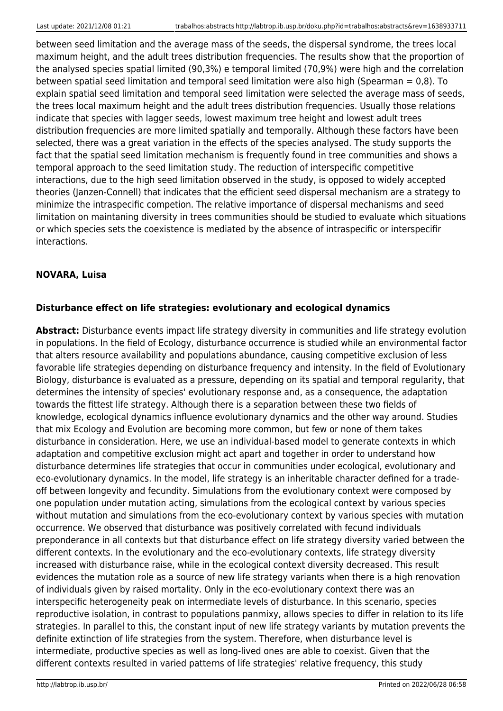between seed limitation and the average mass of the seeds, the dispersal syndrome, the trees local maximum height, and the adult trees distribution frequencies. The results show that the proportion of the analysed species spatial limited (90,3%) e temporal limited (70,9%) were high and the correlation between spatial seed limitation and temporal seed limitation were also high (Spearman  $= 0.8$ ). To explain spatial seed limitation and temporal seed limitation were selected the average mass of seeds, the trees local maximum height and the adult trees distribution frequencies. Usually those relations indicate that species with lagger seeds, lowest maximum tree height and lowest adult trees distribution frequencies are more limited spatially and temporally. Although these factors have been selected, there was a great variation in the effects of the species analysed. The study supports the fact that the spatial seed limitation mechanism is frequently found in tree communities and shows a temporal approach to the seed limitation study. The reduction of interspecific competitive interactions, due to the high seed limitation observed in the study, is opposed to widely accepted theories (Janzen-Connell) that indicates that the efficient seed dispersal mechanism are a strategy to minimize the intraspecific competion. The relative importance of dispersal mechanisms and seed limitation on maintaning diversity in trees communities should be studied to evaluate which situations or which species sets the coexistence is mediated by the absence of intraspecific or interspecifir interactions.

## **NOVARA, Luisa**

## **Disturbance effect on life strategies: evolutionary and ecological dynamics**

**Abstract:** Disturbance events impact life strategy diversity in communities and life strategy evolution in populations. In the field of Ecology, disturbance occurrence is studied while an environmental factor that alters resource availability and populations abundance, causing competitive exclusion of less favorable life strategies depending on disturbance frequency and intensity. In the field of Evolutionary Biology, disturbance is evaluated as a pressure, depending on its spatial and temporal regularity, that determines the intensity of species' evolutionary response and, as a consequence, the adaptation towards the fittest life strategy. Although there is a separation between these two fields of knowledge, ecological dynamics influence evolutionary dynamics and the other way around. Studies that mix Ecology and Evolution are becoming more common, but few or none of them takes disturbance in consideration. Here, we use an individual-based model to generate contexts in which adaptation and competitive exclusion might act apart and together in order to understand how disturbance determines life strategies that occur in communities under ecological, evolutionary and eco-evolutionary dynamics. In the model, life strategy is an inheritable character defined for a tradeoff between longevity and fecundity. Simulations from the evolutionary context were composed by one population under mutation acting, simulations from the ecological context by various species without mutation and simulations from the eco-evolutionary context by various species with mutation occurrence. We observed that disturbance was positively correlated with fecund individuals preponderance in all contexts but that disturbance effect on life strategy diversity varied between the different contexts. In the evolutionary and the eco-evolutionary contexts, life strategy diversity increased with disturbance raise, while in the ecological context diversity decreased. This result evidences the mutation role as a source of new life strategy variants when there is a high renovation of individuals given by raised mortality. Only in the eco-evolutionary context there was an interspecific heterogeneity peak on intermediate levels of disturbance. In this scenario, species reproductive isolation, in contrast to populations panmixy, allows species to differ in relation to its life strategies. In parallel to this, the constant input of new life strategy variants by mutation prevents the definite extinction of life strategies from the system. Therefore, when disturbance level is intermediate, productive species as well as long-lived ones are able to coexist. Given that the different contexts resulted in varied patterns of life strategies' relative frequency, this study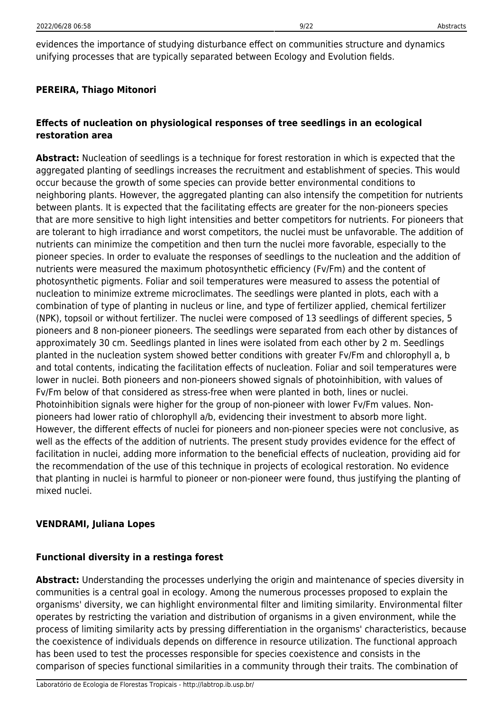### **PEREIRA, Thiago Mitonori**

## **Effects of nucleation on physiological responses of tree seedlings in an ecological restoration area**

**Abstract:** Nucleation of seedlings is a technique for forest restoration in which is expected that the aggregated planting of seedlings increases the recruitment and establishment of species. This would occur because the growth of some species can provide better environmental conditions to neighboring plants. However, the aggregated planting can also intensify the competition for nutrients between plants. It is expected that the facilitating effects are greater for the non-pioneers species that are more sensitive to high light intensities and better competitors for nutrients. For pioneers that are tolerant to high irradiance and worst competitors, the nuclei must be unfavorable. The addition of nutrients can minimize the competition and then turn the nuclei more favorable, especially to the pioneer species. In order to evaluate the responses of seedlings to the nucleation and the addition of nutrients were measured the maximum photosynthetic efficiency (Fv/Fm) and the content of photosynthetic pigments. Foliar and soil temperatures were measured to assess the potential of nucleation to minimize extreme microclimates. The seedlings were planted in plots, each with a combination of type of planting in nucleus or line, and type of fertilizer applied, chemical fertilizer (NPK), topsoil or without fertilizer. The nuclei were composed of 13 seedlings of different species, 5 pioneers and 8 non-pioneer pioneers. The seedlings were separated from each other by distances of approximately 30 cm. Seedlings planted in lines were isolated from each other by 2 m. Seedlings planted in the nucleation system showed better conditions with greater Fv/Fm and chlorophyll a, b and total contents, indicating the facilitation effects of nucleation. Foliar and soil temperatures were lower in nuclei. Both pioneers and non-pioneers showed signals of photoinhibition, with values of Fv/Fm below of that considered as stress-free when were planted in both, lines or nuclei. Photoinhibition signals were higher for the group of non-pioneer with lower Fv/Fm values. Nonpioneers had lower ratio of chlorophyll a/b, evidencing their investment to absorb more light. However, the different effects of nuclei for pioneers and non-pioneer species were not conclusive, as well as the effects of the addition of nutrients. The present study provides evidence for the effect of facilitation in nuclei, adding more information to the beneficial effects of nucleation, providing aid for the recommendation of the use of this technique in projects of ecological restoration. No evidence that planting in nuclei is harmful to pioneer or non-pioneer were found, thus justifying the planting of mixed nuclei.

#### **VENDRAMI, Juliana Lopes**

#### **Functional diversity in a restinga forest**

**Abstract:** Understanding the processes underlying the origin and maintenance of species diversity in communities is a central goal in ecology. Among the numerous processes proposed to explain the organisms' diversity, we can highlight environmental filter and limiting similarity. Environmental filter operates by restricting the variation and distribution of organisms in a given environment, while the process of limiting similarity acts by pressing differentiation in the organisms' characteristics, because the coexistence of individuals depends on difference in resource utilization. The functional approach has been used to test the processes responsible for species coexistence and consists in the comparison of species functional similarities in a community through their traits. The combination of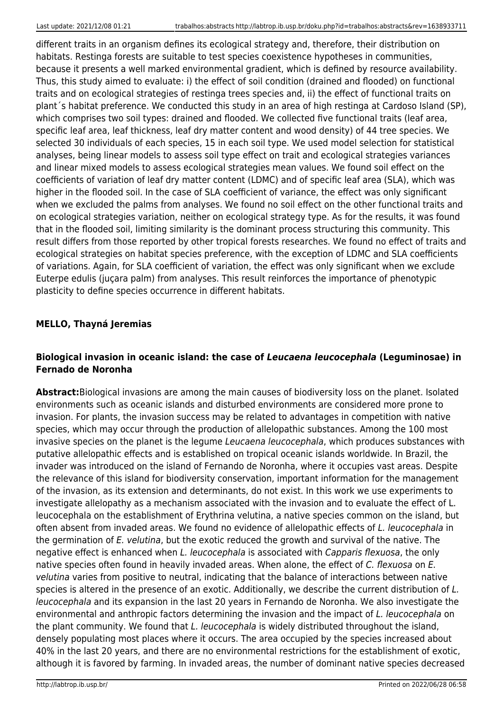different traits in an organism defines its ecological strategy and, therefore, their distribution on habitats. Restinga forests are suitable to test species coexistence hypotheses in communities, because it presents a well marked environmental gradient, which is defined by resource availability. Thus, this study aimed to evaluate: i) the effect of soil condition (drained and flooded) on functional traits and on ecological strategies of restinga trees species and, ii) the effect of functional traits on plant´s habitat preference. We conducted this study in an area of high restinga at Cardoso Island (SP), which comprises two soil types: drained and flooded. We collected five functional traits (leaf area, specific leaf area, leaf thickness, leaf dry matter content and wood density) of 44 tree species. We selected 30 individuals of each species, 15 in each soil type. We used model selection for statistical analyses, being linear models to assess soil type effect on trait and ecological strategies variances and linear mixed models to assess ecological strategies mean values. We found soil effect on the coefficients of variation of leaf dry matter content (LDMC) and of specific leaf area (SLA), which was higher in the flooded soil. In the case of SLA coefficient of variance, the effect was only significant when we excluded the palms from analyses. We found no soil effect on the other functional traits and on ecological strategies variation, neither on ecological strategy type. As for the results, it was found that in the flooded soil, limiting similarity is the dominant process structuring this community. This result differs from those reported by other tropical forests researches. We found no effect of traits and ecological strategies on habitat species preference, with the exception of LDMC and SLA coefficients of variations. Again, for SLA coefficient of variation, the effect was only significant when we exclude Euterpe edulis (juçara palm) from analyses. This result reinforces the importance of phenotypic plasticity to define species occurrence in different habitats.

### **MELLO, Thayná Jeremias**

### **Biological invasion in oceanic island: the case of** *Leucaena leucocephala* **(Leguminosae) in Fernado de Noronha**

**Abstract:**Biological invasions are among the main causes of biodiversity loss on the planet. Isolated environments such as oceanic islands and disturbed environments are considered more prone to invasion. For plants, the invasion success may be related to advantages in competition with native species, which may occur through the production of allelopathic substances. Among the 100 most invasive species on the planet is the legume Leucaena leucocephala, which produces substances with putative allelopathic effects and is established on tropical oceanic islands worldwide. In Brazil, the invader was introduced on the island of Fernando de Noronha, where it occupies vast areas. Despite the relevance of this island for biodiversity conservation, important information for the management of the invasion, as its extension and determinants, do not exist. In this work we use experiments to investigate allelopathy as a mechanism associated with the invasion and to evaluate the effect of L. leucocephala on the establishment of Erythrina velutina, a native species common on the island, but often absent from invaded areas. We found no evidence of allelopathic effects of L. leucocephala in the germination of E. velutina, but the exotic reduced the growth and survival of the native. The negative effect is enhanced when L. leucocephala is associated with Capparis flexuosa, the only native species often found in heavily invaded areas. When alone, the effect of C. flexuosa on E. velutina varies from positive to neutral, indicating that the balance of interactions between native species is altered in the presence of an exotic. Additionally, we describe the current distribution of L. leucocephala and its expansion in the last 20 years in Fernando de Noronha. We also investigate the environmental and anthropic factors determining the invasion and the impact of L. leucocephala on the plant community. We found that L. leucocephala is widely distributed throughout the island, densely populating most places where it occurs. The area occupied by the species increased about 40% in the last 20 years, and there are no environmental restrictions for the establishment of exotic, although it is favored by farming. In invaded areas, the number of dominant native species decreased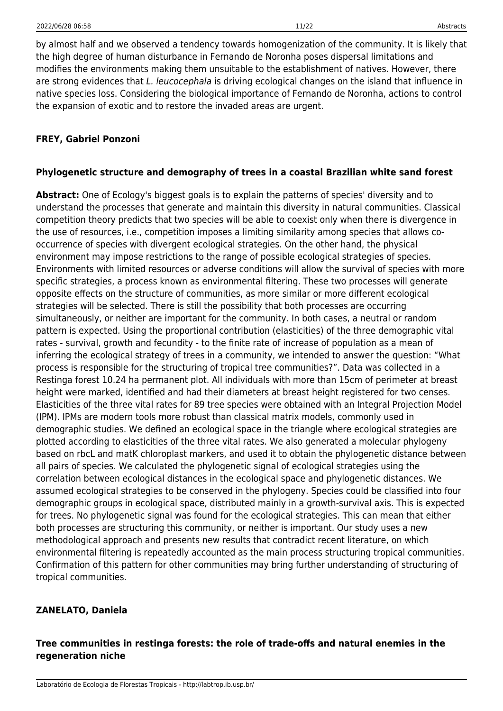by almost half and we observed a tendency towards homogenization of the community. It is likely that the high degree of human disturbance in Fernando de Noronha poses dispersal limitations and modifies the environments making them unsuitable to the establishment of natives. However, there are strong evidences that L. leucocephala is driving ecological changes on the island that influence in native species loss. Considering the biological importance of Fernando de Noronha, actions to control the expansion of exotic and to restore the invaded areas are urgent.

## **FREY, Gabriel Ponzoni**

#### **Phylogenetic structure and demography of trees in a coastal Brazilian white sand forest**

**Abstract:** One of Ecology's biggest goals is to explain the patterns of species' diversity and to understand the processes that generate and maintain this diversity in natural communities. Classical competition theory predicts that two species will be able to coexist only when there is divergence in the use of resources, i.e., competition imposes a limiting similarity among species that allows cooccurrence of species with divergent ecological strategies. On the other hand, the physical environment may impose restrictions to the range of possible ecological strategies of species. Environments with limited resources or adverse conditions will allow the survival of species with more specific strategies, a process known as environmental filtering. These two processes will generate opposite effects on the structure of communities, as more similar or more different ecological strategies will be selected. There is still the possibility that both processes are occurring simultaneously, or neither are important for the community. In both cases, a neutral or random pattern is expected. Using the proportional contribution (elasticities) of the three demographic vital rates - survival, growth and fecundity - to the finite rate of increase of population as a mean of inferring the ecological strategy of trees in a community, we intended to answer the question: "What process is responsible for the structuring of tropical tree communities?". Data was collected in a Restinga forest 10.24 ha permanent plot. All individuals with more than 15cm of perimeter at breast height were marked, identified and had their diameters at breast height registered for two censes. Elasticities of the three vital rates for 89 tree species were obtained with an Integral Projection Model (IPM). IPMs are modern tools more robust than classical matrix models, commonly used in demographic studies. We defined an ecological space in the triangle where ecological strategies are plotted according to elasticities of the three vital rates. We also generated a molecular phylogeny based on rbcL and matK chloroplast markers, and used it to obtain the phylogenetic distance between all pairs of species. We calculated the phylogenetic signal of ecological strategies using the correlation between ecological distances in the ecological space and phylogenetic distances. We assumed ecological strategies to be conserved in the phylogeny. Species could be classified into four demographic groups in ecological space, distributed mainly in a growth-survival axis. This is expected for trees. No phylogenetic signal was found for the ecological strategies. This can mean that either both processes are structuring this community, or neither is important. Our study uses a new methodological approach and presents new results that contradict recent literature, on which environmental filtering is repeatedly accounted as the main process structuring tropical communities. Confirmation of this pattern for other communities may bring further understanding of structuring of tropical communities.

## **ZANELATO, Daniela**

### **Tree communities in restinga forests: the role of trade-offs and natural enemies in the regeneration niche**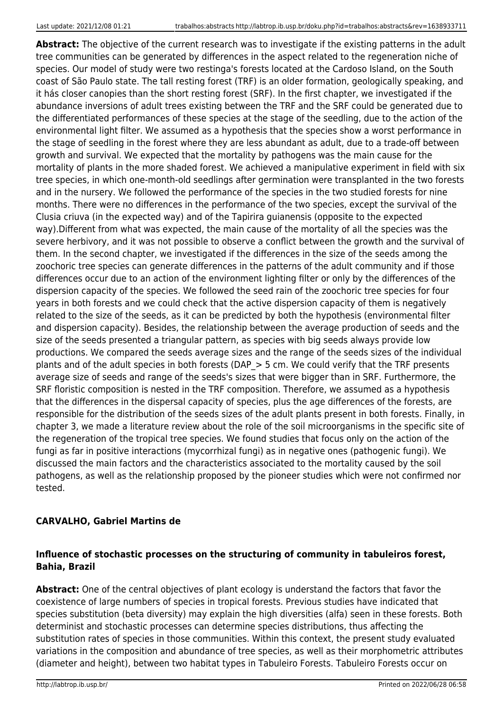**Abstract:** The objective of the current research was to investigate if the existing patterns in the adult tree communities can be generated by differences in the aspect related to the regeneration niche of species. Our model of study were two restinga's forests located at the Cardoso Island, on the South coast of São Paulo state. The tall resting forest (TRF) is an older formation, geologically speaking, and it hás closer canopies than the short resting forest (SRF). In the first chapter, we investigated if the abundance inversions of adult trees existing between the TRF and the SRF could be generated due to the differentiated performances of these species at the stage of the seedling, due to the action of the environmental light filter. We assumed as a hypothesis that the species show a worst performance in the stage of seedling in the forest where they are less abundant as adult, due to a trade-off between growth and survival. We expected that the mortality by pathogens was the main cause for the mortality of plants in the more shaded forest. We achieved a manipulative experiment in field with six tree species, in which one-month-old seedlings after germination were transplanted in the two forests and in the nursery. We followed the performance of the species in the two studied forests for nine months. There were no differences in the performance of the two species, except the survival of the Clusia criuva (in the expected way) and of the Tapirira guianensis (opposite to the expected way).Different from what was expected, the main cause of the mortality of all the species was the severe herbivory, and it was not possible to observe a conflict between the growth and the survival of them. In the second chapter, we investigated if the differences in the size of the seeds among the zoochoric tree species can generate differences in the patterns of the adult community and if those differences occur due to an action of the environment lighting filter or only by the differences of the dispersion capacity of the species. We followed the seed rain of the zoochoric tree species for four years in both forests and we could check that the active dispersion capacity of them is negatively related to the size of the seeds, as it can be predicted by both the hypothesis (environmental filter and dispersion capacity). Besides, the relationship between the average production of seeds and the size of the seeds presented a triangular pattern, as species with big seeds always provide low productions. We compared the seeds average sizes and the range of the seeds sizes of the individual plants and of the adult species in both forests (DAP  $>$  5 cm. We could verify that the TRF presents average size of seeds and range of the seeds's sizes that were bigger than in SRF. Furthermore, the SRF floristic composition is nested in the TRF composition. Therefore, we assumed as a hypothesis that the differences in the dispersal capacity of species, plus the age differences of the forests, are responsible for the distribution of the seeds sizes of the adult plants present in both forests. Finally, in chapter 3, we made a literature review about the role of the soil microorganisms in the specific site of the regeneration of the tropical tree species. We found studies that focus only on the action of the fungi as far in positive interactions (mycorrhizal fungi) as in negative ones (pathogenic fungi). We discussed the main factors and the characteristics associated to the mortality caused by the soil pathogens, as well as the relationship proposed by the pioneer studies which were not confirmed nor tested.

## **CARVALHO, Gabriel Martins de**

## **Influence of stochastic processes on the structuring of community in tabuleiros forest, Bahia, Brazil**

**Abstract:** One of the central objectives of plant ecology is understand the factors that favor the coexistence of large numbers of species in tropical forests. Previous studies have indicated that species substitution (beta diversity) may explain the high diversities (alfa) seen in these forests. Both determinist and stochastic processes can determine species distributions, thus affecting the substitution rates of species in those communities. Within this context, the present study evaluated variations in the composition and abundance of tree species, as well as their morphometric attributes (diameter and height), between two habitat types in Tabuleiro Forests. Tabuleiro Forests occur on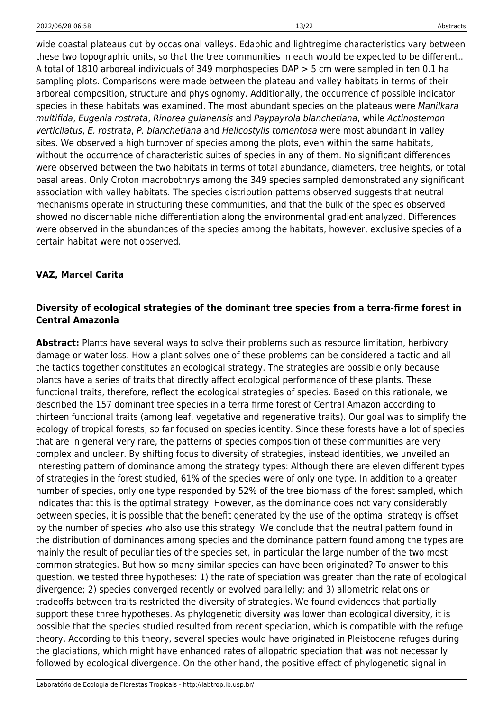wide coastal plateaus cut by occasional valleys. Edaphic and lightregime characteristics vary between these two topographic units, so that the tree communities in each would be expected to be different.. A total of 1810 arboreal individuals of 349 morphospecies DAP > 5 cm were sampled in ten 0.1 ha sampling plots. Comparisons were made between the plateau and valley habitats in terms of their arboreal composition, structure and physiognomy. Additionally, the occurrence of possible indicator species in these habitats was examined. The most abundant species on the plateaus were Manilkara multifida, Eugenia rostrata, Rinorea guianensis and Paypayrola blanchetiana, while Actinostemon verticilatus, E. rostrata, P. blanchetiana and Helicostylis tomentosa were most abundant in valley sites. We observed a high turnover of species among the plots, even within the same habitats, without the occurrence of characteristic suites of species in any of them. No significant differences were observed between the two habitats in terms of total abundance, diameters, tree heights, or total basal areas. Only Croton macrobothrys among the 349 species sampled demonstrated any significant association with valley habitats. The species distribution patterns observed suggests that neutral mechanisms operate in structuring these communities, and that the bulk of the species observed showed no discernable niche differentiation along the environmental gradient analyzed. Differences were observed in the abundances of the species among the habitats, however, exclusive species of a certain habitat were not observed.

## **VAZ, Marcel Carita**

### **Diversity of ecological strategies of the dominant tree species from a terra-firme forest in Central Amazonia**

**Abstract:** Plants have several ways to solve their problems such as resource limitation, herbivory damage or water loss. How a plant solves one of these problems can be considered a tactic and all the tactics together constitutes an ecological strategy. The strategies are possible only because plants have a series of traits that directly affect ecological performance of these plants. These functional traits, therefore, reflect the ecological strategies of species. Based on this rationale, we described the 157 dominant tree species in a terra firme forest of Central Amazon according to thirteen functional traits (among leaf, vegetative and regenerative traits). Our goal was to simplify the ecology of tropical forests, so far focused on species identity. Since these forests have a lot of species that are in general very rare, the patterns of species composition of these communities are very complex and unclear. By shifting focus to diversity of strategies, instead identities, we unveiled an interesting pattern of dominance among the strategy types: Although there are eleven different types of strategies in the forest studied, 61% of the species were of only one type. In addition to a greater number of species, only one type responded by 52% of the tree biomass of the forest sampled, which indicates that this is the optimal strategy. However, as the dominance does not vary considerably between species, it is possible that the benefit generated by the use of the optimal strategy is offset by the number of species who also use this strategy. We conclude that the neutral pattern found in the distribution of dominances among species and the dominance pattern found among the types are mainly the result of peculiarities of the species set, in particular the large number of the two most common strategies. But how so many similar species can have been originated? To answer to this question, we tested three hypotheses: 1) the rate of speciation was greater than the rate of ecological divergence; 2) species converged recently or evolved parallelly; and 3) allometric relations or tradeoffs between traits restricted the diversity of strategies. We found evidences that partially support these three hypotheses. As phylogenetic diversity was lower than ecological diversity, it is possible that the species studied resulted from recent speciation, which is compatible with the refuge theory. According to this theory, several species would have originated in Pleistocene refuges during the glaciations, which might have enhanced rates of allopatric speciation that was not necessarily followed by ecological divergence. On the other hand, the positive effect of phylogenetic signal in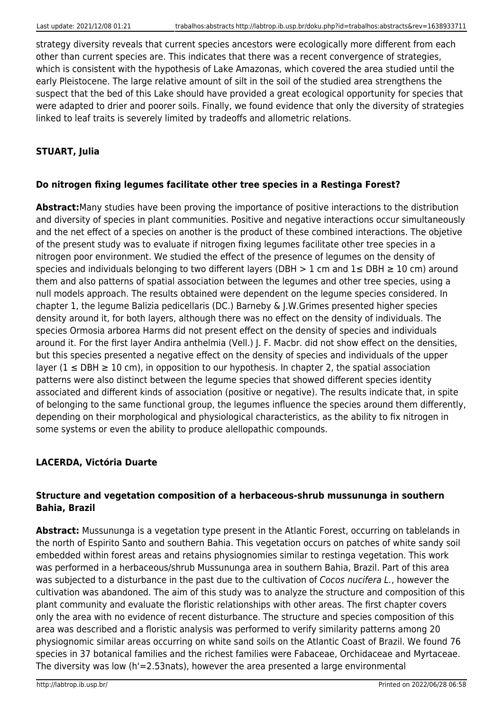strategy diversity reveals that current species ancestors were ecologically more different from each other than current species are. This indicates that there was a recent convergence of strategies, which is consistent with the hypothesis of Lake Amazonas, which covered the area studied until the early Pleistocene. The large relative amount of silt in the soil of the studied area strengthens the suspect that the bed of this Lake should have provided a great ecological opportunity for species that were adapted to drier and poorer soils. Finally, we found evidence that only the diversity of strategies linked to leaf traits is severely limited by tradeoffs and allometric relations.

## **STUART, Julia**

## **Do nitrogen fixing legumes facilitate other tree species in a Restinga Forest?**

**Abstract:**Many studies have been proving the importance of positive interactions to the distribution and diversity of species in plant communities. Positive and negative interactions occur simultaneously and the net effect of a species on another is the product of these combined interactions. The objetive of the present study was to evaluate if nitrogen fixing legumes facilitate other tree species in a nitrogen poor environment. We studied the effect of the presence of legumes on the density of species and individuals belonging to two different layers (DBH  $> 1$  cm and  $1 \leq$  DBH  $\geq 10$  cm) around them and also patterns of spatial association between the legumes and other tree species, using a null models approach. The results obtained were dependent on the legume species considered. In chapter 1, the legume Balizia pedicellaris (DC.) Barneby & J.W.Grimes presented higher species density around it, for both layers, although there was no effect on the density of individuals. The species Ormosia arborea Harms did not present effect on the density of species and individuals around it. For the first layer Andira anthelmia (Vell.) J. F. Macbr. did not show effect on the densities, but this species presented a negative effect on the density of species and individuals of the upper layer ( $1 \leq DBH \geq 10$  cm), in opposition to our hypothesis. In chapter 2, the spatial association patterns were also distinct between the legume species that showed different species identity associated and different kinds of association (positive or negative). The results indicate that, in spite of belonging to the same functional group, the legumes influence the species around them differently, depending on their morphological and physiological characteristics, as the ability to fix nitrogen in some systems or even the ability to produce alellopathic compounds.

## **LACERDA, Victória Duarte**

### **Structure and vegetation composition of a herbaceous-shrub mussununga in southern Bahia, Brazil**

**Abstract:** Mussununga is a vegetation type present in the Atlantic Forest, occurring on tablelands in the north of Espirito Santo and southern Bahia. This vegetation occurs on patches of white sandy soil embedded within forest areas and retains physiognomies similar to restinga vegetation. This work was performed in a herbaceous/shrub Mussununga area in southern Bahia, Brazil. Part of this area was subjected to a disturbance in the past due to the cultivation of Cocos nucifera L., however the cultivation was abandoned. The aim of this study was to analyze the structure and composition of this plant community and evaluate the floristic relationships with other areas. The first chapter covers only the area with no evidence of recent disturbance. The structure and species composition of this area was described and a floristic analysis was performed to verify similarity patterns among 20 physiognomic similar areas occurring on white sand soils on the Atlantic Coast of Brazil. We found 76 species in 37 botanical families and the richest families were Fabaceae, Orchidaceae and Myrtaceae. The diversity was low (h'=2.53nats), however the area presented a large environmental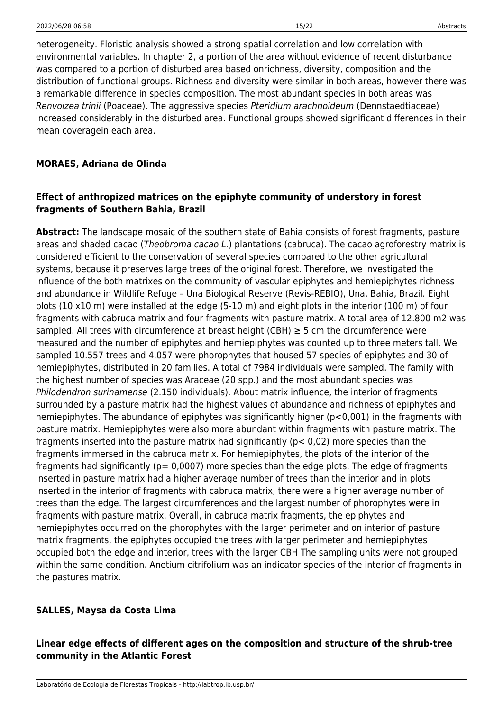heterogeneity. Floristic analysis showed a strong spatial correlation and low correlation with environmental variables. In chapter 2, a portion of the area without evidence of recent disturbance was compared to a portion of disturbed area based onrichness, diversity, composition and the distribution of functional groups. Richness and diversity were similar in both areas, however there was a remarkable difference in species composition. The most abundant species in both areas was Renvoizea trinii (Poaceae). The aggressive species Pteridium arachnoideum (Dennstaedtiaceae) increased considerably in the disturbed area. Functional groups showed significant differences in their mean coveragein each area.

#### **MORAES, Adriana de Olinda**

### **Effect of anthropized matrices on the epiphyte community of understory in forest fragments of Southern Bahia, Brazil**

**Abstract:** The landscape mosaic of the southern state of Bahia consists of forest fragments, pasture areas and shaded cacao (Theobroma cacao L.) plantations (cabruca). The cacao agroforestry matrix is considered efficient to the conservation of several species compared to the other agricultural systems, because it preserves large trees of the original forest. Therefore, we investigated the influence of the both matrixes on the community of vascular epiphytes and hemiepiphytes richness and abundance in Wildlife Refuge – Una Biological Reserve (Revis-REBIO), Una, Bahia, Brazil. Eight plots (10 x10 m) were installed at the edge (5-10 m) and eight plots in the interior (100 m) of four fragments with cabruca matrix and four fragments with pasture matrix. A total area of 12.800 m2 was sampled. All trees with circumference at breast height (CBH)  $\geq$  5 cm the circumference were measured and the number of epiphytes and hemiepiphytes was counted up to three meters tall. We sampled 10.557 trees and 4.057 were phorophytes that housed 57 species of epiphytes and 30 of hemiepiphytes, distributed in 20 families. A total of 7984 individuals were sampled. The family with the highest number of species was Araceae (20 spp.) and the most abundant species was Philodendron surinamense (2.150 individuals). About matrix influence, the interior of fragments surrounded by a pasture matrix had the highest values of abundance and richness of epiphytes and hemiepiphytes. The abundance of epiphytes was significantly higher (p<0,001) in the fragments with pasture matrix. Hemiepiphytes were also more abundant within fragments with pasture matrix. The fragments inserted into the pasture matrix had significantly (p< 0,02) more species than the fragments immersed in the cabruca matrix. For hemiepiphytes, the plots of the interior of the fragments had significantly ( $p= 0.0007$ ) more species than the edge plots. The edge of fragments inserted in pasture matrix had a higher average number of trees than the interior and in plots inserted in the interior of fragments with cabruca matrix, there were a higher average number of trees than the edge. The largest circumferences and the largest number of phorophytes were in fragments with pasture matrix. Overall, in cabruca matrix fragments, the epiphytes and hemiepiphytes occurred on the phorophytes with the larger perimeter and on interior of pasture matrix fragments, the epiphytes occupied the trees with larger perimeter and hemiepiphytes occupied both the edge and interior, trees with the larger CBH The sampling units were not grouped within the same condition. Anetium citrifolium was an indicator species of the interior of fragments in the pastures matrix.

#### **SALLES, Maysa da Costa Lima**

### **Linear edge effects of different ages on the composition and structure of the shrub-tree community in the Atlantic Forest**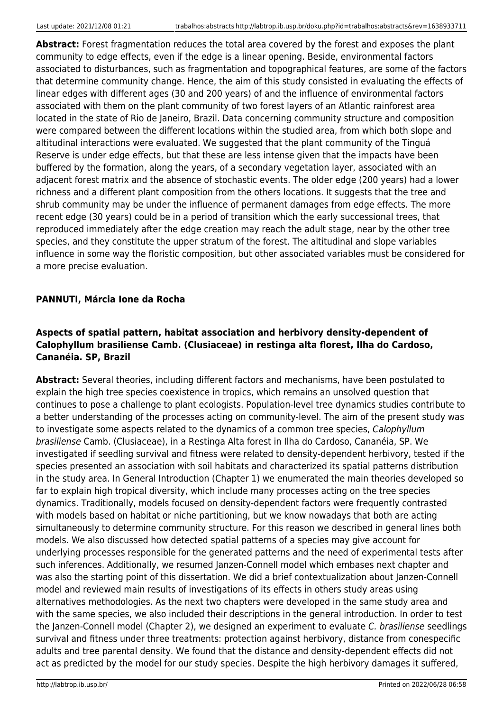**Abstract:** Forest fragmentation reduces the total area covered by the forest and exposes the plant community to edge effects, even if the edge is a linear opening. Beside, environmental factors associated to disturbances, such as fragmentation and topographical features, are some of the factors that determine community change. Hence, the aim of this study consisted in evaluating the effects of linear edges with different ages (30 and 200 years) of and the influence of environmental factors associated with them on the plant community of two forest layers of an Atlantic rainforest area located in the state of Rio de Janeiro, Brazil. Data concerning community structure and composition were compared between the different locations within the studied area, from which both slope and altitudinal interactions were evaluated. We suggested that the plant community of the Tinguá Reserve is under edge effects, but that these are less intense given that the impacts have been buffered by the formation, along the years, of a secondary vegetation layer, associated with an adjacent forest matrix and the absence of stochastic events. The older edge (200 years) had a lower richness and a different plant composition from the others locations. It suggests that the tree and shrub community may be under the influence of permanent damages from edge effects. The more recent edge (30 years) could be in a period of transition which the early successional trees, that reproduced immediately after the edge creation may reach the adult stage, near by the other tree species, and they constitute the upper stratum of the forest. The altitudinal and slope variables influence in some way the floristic composition, but other associated variables must be considered for a more precise evaluation.

### **PANNUTI, Márcia Ione da Rocha**

## **Aspects of spatial pattern, habitat association and herbivory density-dependent of Calophyllum brasiliense Camb. (Clusiaceae) in restinga alta florest, Ilha do Cardoso, Cananéia. SP, Brazil**

**Abstract:** Several theories, including different factors and mechanisms, have been postulated to explain the high tree species coexistence in tropics, which remains an unsolved question that continues to pose a challenge to plant ecologists. Population-level tree dynamics studies contribute to a better understanding of the processes acting on community-level. The aim of the present study was to investigate some aspects related to the dynamics of a common tree species, Calophyllum brasiliense Camb. (Clusiaceae), in a Restinga Alta forest in Ilha do Cardoso, Cananéia, SP. We investigated if seedling survival and fitness were related to density-dependent herbivory, tested if the species presented an association with soil habitats and characterized its spatial patterns distribution in the study area. In General Introduction (Chapter 1) we enumerated the main theories developed so far to explain high tropical diversity, which include many processes acting on the tree species dynamics. Traditionally, models focused on density-dependent factors were frequently contrasted with models based on habitat or niche partitioning, but we know nowadays that both are acting simultaneously to determine community structure. For this reason we described in general lines both models. We also discussed how detected spatial patterns of a species may give account for underlying processes responsible for the generated patterns and the need of experimental tests after such inferences. Additionally, we resumed Janzen-Connell model which embases next chapter and was also the starting point of this dissertation. We did a brief contextualization about Janzen-Connell model and reviewed main results of investigations of its effects in others study areas using alternatives methodologies. As the next two chapters were developed in the same study area and with the same species, we also included their descriptions in the general introduction. In order to test the Janzen-Connell model (Chapter 2), we designed an experiment to evaluate C. brasiliense seedlings survival and fitness under three treatments: protection against herbivory, distance from conespecific adults and tree parental density. We found that the distance and density-dependent effects did not act as predicted by the model for our study species. Despite the high herbivory damages it suffered,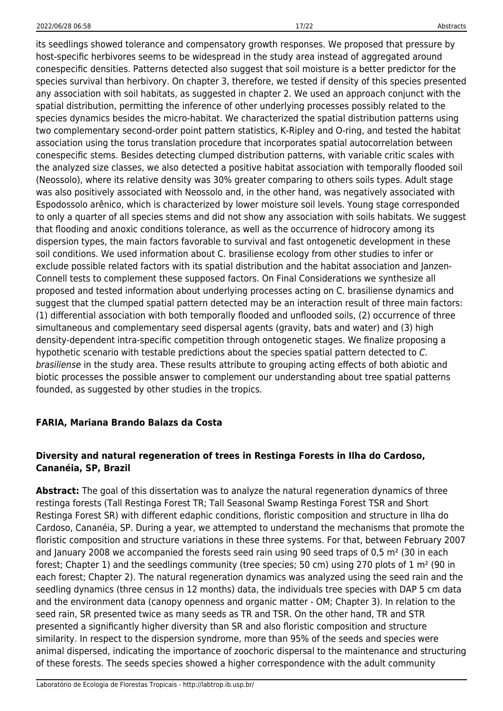its seedlings showed tolerance and compensatory growth responses. We proposed that pressure by host-specific herbivores seems to be widespread in the study area instead of aggregated around conespecific densities. Patterns detected also suggest that soil moisture is a better predictor for the species survival than herbivory. On chapter 3, therefore, we tested if density of this species presented any association with soil habitats, as suggested in chapter 2. We used an approach conjunct with the spatial distribution, permitting the inference of other underlying processes possibly related to the species dynamics besides the micro-habitat. We characterized the spatial distribution patterns using two complementary second-order point pattern statistics, K-Ripley and O-ring, and tested the habitat association using the torus translation procedure that incorporates spatial autocorrelation between conespecific stems. Besides detecting clumped distribution patterns, with variable critic scales with the analyzed size classes, we also detected a positive habitat association with temporally flooded soil (Neossolo), where its relative density was 30% greater comparing to others soils types. Adult stage was also positively associated with Neossolo and, in the other hand, was negatively associated with Espodossolo arênico, which is characterized by lower moisture soil levels. Young stage corresponded to only a quarter of all species stems and did not show any association with soils habitats. We suggest that flooding and anoxic conditions tolerance, as well as the occurrence of hidrocory among its dispersion types, the main factors favorable to survival and fast ontogenetic development in these soil conditions. We used information about C. brasiliense ecology from other studies to infer or exclude possible related factors with its spatial distribution and the habitat association and Janzen-Connell tests to complement these supposed factors. On Final Considerations we synthesize all proposed and tested information about underlying processes acting on C. brasiliense dynamics and suggest that the clumped spatial pattern detected may be an interaction result of three main factors: (1) differential association with both temporally flooded and unflooded soils, (2) occurrence of three simultaneous and complementary seed dispersal agents (gravity, bats and water) and (3) high density-dependent intra-specific competition through ontogenetic stages. We finalize proposing a hypothetic scenario with testable predictions about the species spatial pattern detected to C. brasiliense in the study area. These results attribute to grouping acting effects of both abiotic and biotic processes the possible answer to complement our understanding about tree spatial patterns founded, as suggested by other studies in the tropics.

#### **FARIA, Mariana Brando Balazs da Costa**

## **Diversity and natural regeneration of trees in Restinga Forests in Ilha do Cardoso, Cananéia, SP, Brazil**

**Abstract:** The goal of this dissertation was to analyze the natural regeneration dynamics of three restinga forests (Tall Restinga Forest TR; Tall Seasonal Swamp Restinga Forest TSR and Short Restinga Forest SR) with different edaphic conditions, floristic composition and structure in Ilha do Cardoso, Cananéia, SP. During a year, we attempted to understand the mechanisms that promote the floristic composition and structure variations in these three systems. For that, between February 2007 and January 2008 we accompanied the forests seed rain using 90 seed traps of 0,5 m<sup>2</sup> (30 in each forest; Chapter 1) and the seedlings community (tree species; 50 cm) using 270 plots of 1 m² (90 in each forest; Chapter 2). The natural regeneration dynamics was analyzed using the seed rain and the seedling dynamics (three census in 12 months) data, the individuals tree species with DAP 5 cm data and the environment data (canopy openness and organic matter - OM; Chapter 3). In relation to the seed rain, SR presented twice as many seeds as TR and TSR. On the other hand, TR and STR presented a significantly higher diversity than SR and also floristic composition and structure similarity. In respect to the dispersion syndrome, more than 95% of the seeds and species were animal dispersed, indicating the importance of zoochoric dispersal to the maintenance and structuring of these forests. The seeds species showed a higher correspondence with the adult community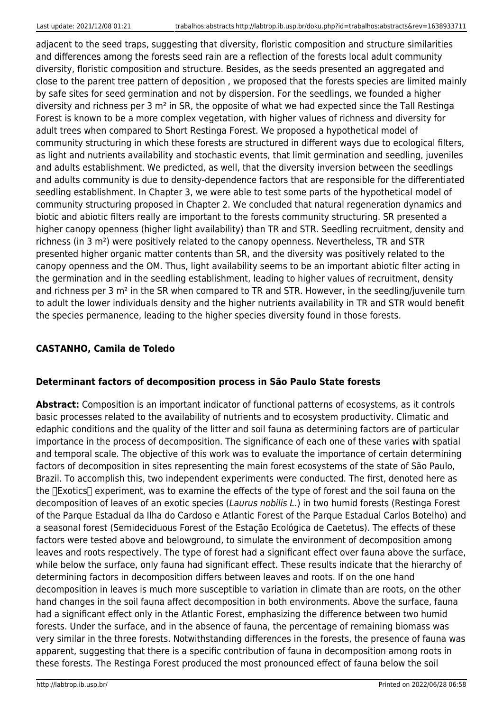adjacent to the seed traps, suggesting that diversity, floristic composition and structure similarities and differences among the forests seed rain are a reflection of the forests local adult community diversity, floristic composition and structure. Besides, as the seeds presented an aggregated and close to the parent tree pattern of deposition , we proposed that the forests species are limited mainly by safe sites for seed germination and not by dispersion. For the seedlings, we founded a higher diversity and richness per 3 m² in SR, the opposite of what we had expected since the Tall Restinga Forest is known to be a more complex vegetation, with higher values of richness and diversity for adult trees when compared to Short Restinga Forest. We proposed a hypothetical model of community structuring in which these forests are structured in different ways due to ecological filters, as light and nutrients availability and stochastic events, that limit germination and seedling, juveniles and adults establishment. We predicted, as well, that the diversity inversion between the seedlings and adults community is due to density-dependence factors that are responsible for the differentiated seedling establishment. In Chapter 3, we were able to test some parts of the hypothetical model of community structuring proposed in Chapter 2. We concluded that natural regeneration dynamics and biotic and abiotic filters really are important to the forests community structuring. SR presented a higher canopy openness (higher light availability) than TR and STR. Seedling recruitment, density and richness (in 3 m²) were positively related to the canopy openness. Nevertheless, TR and STR presented higher organic matter contents than SR, and the diversity was positively related to the canopy openness and the OM. Thus, light availability seems to be an important abiotic filter acting in the germination and in the seedling establishment, leading to higher values of recruitment, density and richness per 3 m<sup>2</sup> in the SR when compared to TR and STR. However, in the seedling/juvenile turn to adult the lower individuals density and the higher nutrients availability in TR and STR would benefit the species permanence, leading to the higher species diversity found in those forests.

## **CASTANHO, Camila de Toledo**

## **Determinant factors of decomposition process in São Paulo State forests**

**Abstract:** Composition is an important indicator of functional patterns of ecosystems, as it controls basic processes related to the availability of nutrients and to ecosystem productivity. Climatic and edaphic conditions and the quality of the litter and soil fauna as determining factors are of particular importance in the process of decomposition. The significance of each one of these varies with spatial and temporal scale. The objective of this work was to evaluate the importance of certain determining factors of decomposition in sites representing the main forest ecosystems of the state of São Paulo, Brazil. To accomplish this, two independent experiments were conducted. The first, denoted here as the [Exotics] experiment, was to examine the effects of the type of forest and the soil fauna on the decomposition of leaves of an exotic species (Laurus nobilis L.) in two humid forests (Restinga Forest of the Parque Estadual da Ilha do Cardoso e Atlantic Forest of the Parque Estadual Carlos Botelho) and a seasonal forest (Semideciduous Forest of the Estação Ecológica de Caetetus). The effects of these factors were tested above and belowground, to simulate the environment of decomposition among leaves and roots respectively. The type of forest had a significant effect over fauna above the surface, while below the surface, only fauna had significant effect. These results indicate that the hierarchy of determining factors in decomposition differs between leaves and roots. If on the one hand decomposition in leaves is much more susceptible to variation in climate than are roots, on the other hand changes in the soil fauna affect decomposition in both environments. Above the surface, fauna had a significant effect only in the Atlantic Forest, emphasizing the difference between two humid forests. Under the surface, and in the absence of fauna, the percentage of remaining biomass was very similar in the three forests. Notwithstanding differences in the forests, the presence of fauna was apparent, suggesting that there is a specific contribution of fauna in decomposition among roots in these forests. The Restinga Forest produced the most pronounced effect of fauna below the soil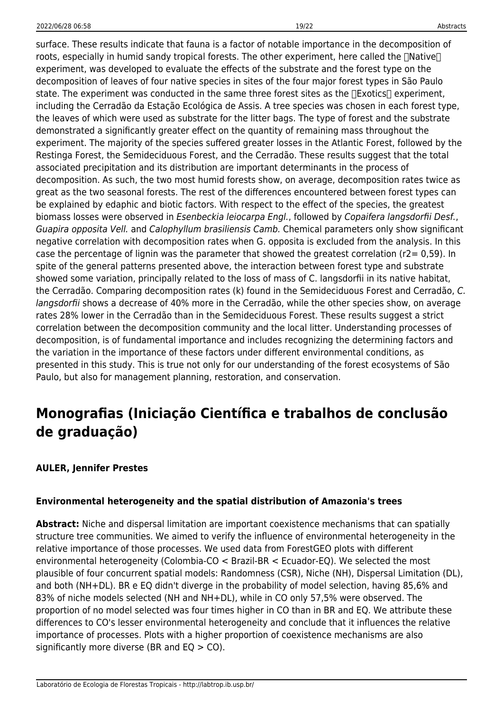surface. These results indicate that fauna is a factor of notable importance in the decomposition of roots, especially in humid sandy tropical forests. The other experiment, here called the  $\Box$ Native $\Box$ experiment, was developed to evaluate the effects of the substrate and the forest type on the decomposition of leaves of four native species in sites of the four major forest types in São Paulo state. The experiment was conducted in the same three forest sites as the  $\Box$ Exotics $\Box$  experiment, including the Cerradão da Estação Ecológica de Assis. A tree species was chosen in each forest type, the leaves of which were used as substrate for the litter bags. The type of forest and the substrate demonstrated a significantly greater effect on the quantity of remaining mass throughout the experiment. The majority of the species suffered greater losses in the Atlantic Forest, followed by the Restinga Forest, the Semideciduous Forest, and the Cerradão. These results suggest that the total associated precipitation and its distribution are important determinants in the process of decomposition. As such, the two most humid forests show, on average, decomposition rates twice as great as the two seasonal forests. The rest of the differences encountered between forest types can be explained by edaphic and biotic factors. With respect to the effect of the species, the greatest biomass losses were observed in Esenbeckia leiocarpa Engl., followed by Copaifera langsdorfii Desf., Guapira opposita Vell. and Calophyllum brasiliensis Camb. Chemical parameters only show significant negative correlation with decomposition rates when G. opposita is excluded from the analysis. In this case the percentage of lignin was the parameter that showed the greatest correlation (r2= 0,59). In spite of the general patterns presented above, the interaction between forest type and substrate showed some variation, principally related to the loss of mass of C. langsdorfii in its native habitat, the Cerradão. Comparing decomposition rates (k) found in the Semideciduous Forest and Cerradão, C. langsdorfii shows a decrease of 40% more in the Cerradão, while the other species show, on average rates 28% lower in the Cerradão than in the Semideciduous Forest. These results suggest a strict correlation between the decomposition community and the local litter. Understanding processes of decomposition, is of fundamental importance and includes recognizing the determining factors and the variation in the importance of these factors under different environmental conditions, as presented in this study. This is true not only for our understanding of the forest ecosystems of São Paulo, but also for management planning, restoration, and conservation.

## **Monografias (Iniciação Científica e trabalhos de conclusão de graduação)**

#### **AULER, Jennifer Prestes**

#### **Environmental heterogeneity and the spatial distribution of Amazonia's trees**

**Abstract:** Niche and dispersal limitation are important coexistence mechanisms that can spatially structure tree communities. We aimed to verify the influence of environmental heterogeneity in the relative importance of those processes. We used data from ForestGEO plots with different environmental heterogeneity (Colombia-CO < Brazil-BR < Ecuador-EQ). We selected the most plausible of four concurrent spatial models: Randomness (CSR), Niche (NH), Dispersal Limitation (DL), and both (NH+DL). BR e EQ didn't diverge in the probability of model selection, having 85,6% and 83% of niche models selected (NH and NH+DL), while in CO only 57,5% were observed. The proportion of no model selected was four times higher in CO than in BR and EQ. We attribute these differences to CO's lesser environmental heterogeneity and conclude that it influences the relative importance of processes. Plots with a higher proportion of coexistence mechanisms are also significantly more diverse (BR and  $EQ > CO$ ).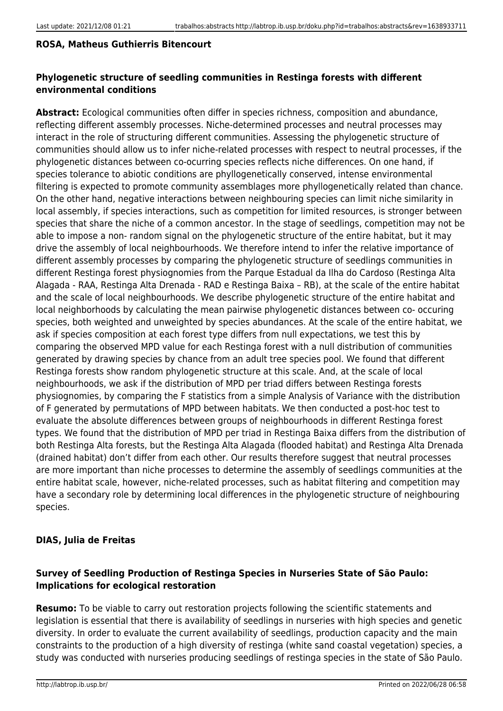#### **ROSA, Matheus Guthierris Bitencourt**

## **Phylogenetic structure of seedling communities in Restinga forests with different environmental conditions**

**Abstract:** Ecological communities often differ in species richness, composition and abundance, reflecting different assembly processes. Niche-determined processes and neutral processes may interact in the role of structuring different communities. Assessing the phylogenetic structure of communities should allow us to infer niche-related processes with respect to neutral processes, if the phylogenetic distances between co-ocurring species reflects niche differences. On one hand, if species tolerance to abiotic conditions are phyllogenetically conserved, intense environmental filtering is expected to promote community assemblages more phyllogenetically related than chance. On the other hand, negative interactions between neighbouring species can limit niche similarity in local assembly, if species interactions, such as competition for limited resources, is stronger between species that share the niche of a common ancestor. In the stage of seedlings, competition may not be able to impose a non- random signal on the phylogenetic structure of the entire habitat, but it may drive the assembly of local neighbourhoods. We therefore intend to infer the relative importance of different assembly processes by comparing the phylogenetic structure of seedlings communities in different Restinga forest physiognomies from the Parque Estadual da Ilha do Cardoso (Restinga Alta Alagada - RAA, Restinga Alta Drenada - RAD e Restinga Baixa – RB), at the scale of the entire habitat and the scale of local neighbourhoods. We describe phylogenetic structure of the entire habitat and local neighborhoods by calculating the mean pairwise phylogenetic distances between co- occuring species, both weighted and unweighted by species abundances. At the scale of the entire habitat, we ask if species composition at each forest type differs from null expectations, we test this by comparing the observed MPD value for each Restinga forest with a null distribution of communities generated by drawing species by chance from an adult tree species pool. We found that different Restinga forests show random phylogenetic structure at this scale. And, at the scale of local neighbourhoods, we ask if the distribution of MPD per triad differs between Restinga forests physiognomies, by comparing the F statistics from a simple Analysis of Variance with the distribution of F generated by permutations of MPD between habitats. We then conducted a post-hoc test to evaluate the absolute differences between groups of neighbourhoods in different Restinga forest types. We found that the distribution of MPD per triad in Restinga Baixa differs from the distribution of both Restinga Alta forests, but the Restinga Alta Alagada (flooded habitat) and Restinga Alta Drenada (drained habitat) don't differ from each other. Our results therefore suggest that neutral processes are more important than niche processes to determine the assembly of seedlings communities at the entire habitat scale, however, niche-related processes, such as habitat filtering and competition may have a secondary role by determining local differences in the phylogenetic structure of neighbouring species.

## **DIAS, Julia de Freitas**

## **Survey of Seedling Production of Restinga Species in Nurseries State of São Paulo: Implications for ecological restoration**

**Resumo:** To be viable to carry out restoration projects following the scientific statements and legislation is essential that there is availability of seedlings in nurseries with high species and genetic diversity. In order to evaluate the current availability of seedlings, production capacity and the main constraints to the production of a high diversity of restinga (white sand coastal vegetation) species, a study was conducted with nurseries producing seedlings of restinga species in the state of São Paulo.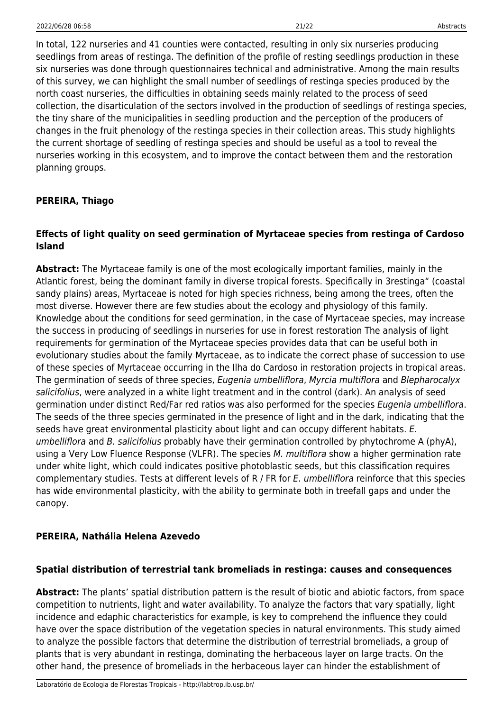In total, 122 nurseries and 41 counties were contacted, resulting in only six nurseries producing seedlings from areas of restinga. The definition of the profile of resting seedlings production in these six nurseries was done through questionnaires technical and administrative. Among the main results of this survey, we can highlight the small number of seedlings of restinga species produced by the north coast nurseries, the difficulties in obtaining seeds mainly related to the process of seed collection, the disarticulation of the sectors involved in the production of seedlings of restinga species, the tiny share of the municipalities in seedling production and the perception of the producers of changes in the fruit phenology of the restinga species in their collection areas. This study highlights the current shortage of seedling of restinga species and should be useful as a tool to reveal the nurseries working in this ecosystem, and to improve the contact between them and the restoration planning groups.

#### **PEREIRA, Thiago**

#### **Effects of light quality on seed germination of Myrtaceae species from restinga of Cardoso Island**

**Abstract:** The Myrtaceae family is one of the most ecologically important families, mainly in the Atlantic forest, being the dominant family in diverse tropical forests. Specifically in 3restinga" (coastal sandy plains) areas, Myrtaceae is noted for high species richness, being among the trees, often the most diverse. However there are few studies about the ecology and physiology of this family. Knowledge about the conditions for seed germination, in the case of Myrtaceae species, may increase the success in producing of seedlings in nurseries for use in forest restoration The analysis of light requirements for germination of the Myrtaceae species provides data that can be useful both in evolutionary studies about the family Myrtaceae, as to indicate the correct phase of succession to use of these species of Myrtaceae occurring in the Ilha do Cardoso in restoration projects in tropical areas. The germination of seeds of three species, Eugenia umbelliflora, Myrcia multiflora and Blepharocalyx salicifolius, were analyzed in a white light treatment and in the control (dark). An analysis of seed germination under distinct Red/Far red ratios was also performed for the species Eugenia umbelliflora. The seeds of the three species germinated in the presence of light and in the dark, indicating that the seeds have great environmental plasticity about light and can occupy different habitats. E. umbelliflora and B. salicifolius probably have their germination controlled by phytochrome A (phyA), using a Very Low Fluence Response (VLFR). The species M. multiflora show a higher germination rate under white light, which could indicates positive photoblastic seeds, but this classification requires complementary studies. Tests at different levels of R / FR for E. umbelliflora reinforce that this species has wide environmental plasticity, with the ability to germinate both in treefall gaps and under the canopy.

#### **PEREIRA, Nathália Helena Azevedo**

#### **Spatial distribution of terrestrial tank bromeliads in restinga: causes and consequences**

**Abstract:** The plants' spatial distribution pattern is the result of biotic and abiotic factors, from space competition to nutrients, light and water availability. To analyze the factors that vary spatially, light incidence and edaphic characteristics for example, is key to comprehend the influence they could have over the space distribution of the vegetation species in natural environments. This study aimed to analyze the possible factors that determine the distribution of terrestrial bromeliads, a group of plants that is very abundant in restinga, dominating the herbaceous layer on large tracts. On the other hand, the presence of bromeliads in the herbaceous layer can hinder the establishment of